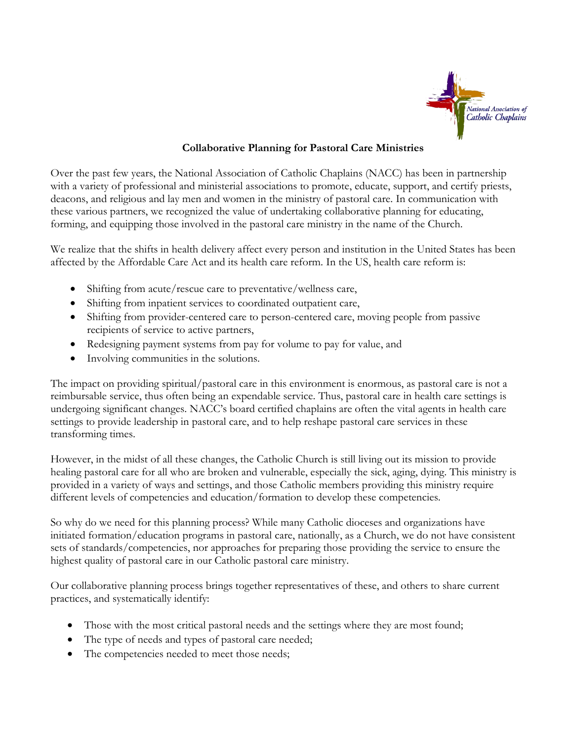

### **Collaborative Planning for Pastoral Care Ministries**

Over the past few years, the National Association of Catholic Chaplains (NACC) has been in partnership with a variety of professional and ministerial associations to promote, educate, support, and certify priests, deacons, and religious and lay men and women in the ministry of pastoral care. In communication with these various partners, we recognized the value of undertaking collaborative planning for educating, forming, and equipping those involved in the pastoral care ministry in the name of the Church.

We realize that the shifts in health delivery affect every person and institution in the United States has been affected by the Affordable Care Act and its health care reform. In the US, health care reform is:

- Shifting from acute/rescue care to preventative/wellness care,
- Shifting from inpatient services to coordinated outpatient care,
- Shifting from provider-centered care to person-centered care, moving people from passive recipients of service to active partners,
- Redesigning payment systems from pay for volume to pay for value, and
- Involving communities in the solutions.

The impact on providing spiritual/pastoral care in this environment is enormous, as pastoral care is not a reimbursable service, thus often being an expendable service. Thus, pastoral care in health care settings is undergoing significant changes. NACC's board certified chaplains are often the vital agents in health care settings to provide leadership in pastoral care, and to help reshape pastoral care services in these transforming times.

However, in the midst of all these changes, the Catholic Church is still living out its mission to provide healing pastoral care for all who are broken and vulnerable, especially the sick, aging, dying. This ministry is provided in a variety of ways and settings, and those Catholic members providing this ministry require different levels of competencies and education/formation to develop these competencies.

So why do we need for this planning process? While many Catholic dioceses and organizations have initiated formation/education programs in pastoral care, nationally, as a Church, we do not have consistent sets of standards/competencies, nor approaches for preparing those providing the service to ensure the highest quality of pastoral care in our Catholic pastoral care ministry.

Our collaborative planning process brings together representatives of these, and others to share current practices, and systematically identify:

- Those with the most critical pastoral needs and the settings where they are most found;
- The type of needs and types of pastoral care needed;
- The competencies needed to meet those needs;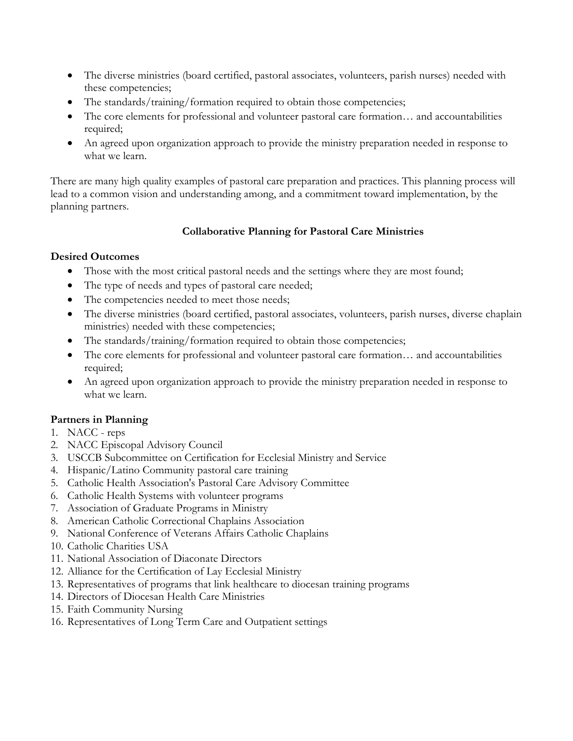- The diverse ministries (board certified, pastoral associates, volunteers, parish nurses) needed with these competencies;
- The standards/training/formation required to obtain those competencies;
- The core elements for professional and volunteer pastoral care formation… and accountabilities required;
- An agreed upon organization approach to provide the ministry preparation needed in response to what we learn.

There are many high quality examples of pastoral care preparation and practices. This planning process will lead to a common vision and understanding among, and a commitment toward implementation, by the planning partners.

# **Collaborative Planning for Pastoral Care Ministries**

### **Desired Outcomes**

- Those with the most critical pastoral needs and the settings where they are most found;
- The type of needs and types of pastoral care needed;
- The competencies needed to meet those needs;
- The diverse ministries (board certified, pastoral associates, volunteers, parish nurses, diverse chaplain ministries) needed with these competencies;
- The standards/training/formation required to obtain those competencies;
- The core elements for professional and volunteer pastoral care formation… and accountabilities required;
- An agreed upon organization approach to provide the ministry preparation needed in response to what we learn.

# **Partners in Planning**

- 1. NACC reps
- 2. NACC Episcopal Advisory Council
- 3. USCCB Subcommittee on Certification for Ecclesial Ministry and Service
- 4. Hispanic/Latino Community pastoral care training
- 5. Catholic Health Association's Pastoral Care Advisory Committee
- 6. Catholic Health Systems with volunteer programs
- 7. Association of Graduate Programs in Ministry
- 8. American Catholic Correctional Chaplains Association
- 9. National Conference of Veterans Affairs Catholic Chaplains
- 10. Catholic Charities USA
- 11. National Association of Diaconate Directors
- 12. Alliance for the Certification of Lay Ecclesial Ministry
- 13. Representatives of programs that link healthcare to diocesan training programs
- 14. Directors of Diocesan Health Care Ministries
- 15. Faith Community Nursing
- 16. Representatives of Long Term Care and Outpatient settings